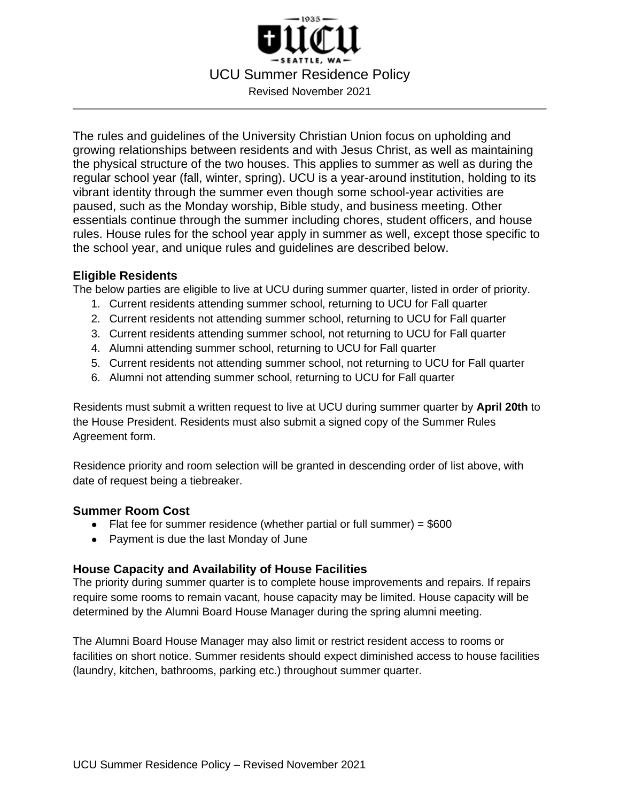

The rules and guidelines of the University Christian Union focus on upholding and growing relationships between residents and with Jesus Christ, as well as maintaining the physical structure of the two houses. This applies to summer as well as during the regular school year (fall, winter, spring). UCU is a year-around institution, holding to its vibrant identity through the summer even though some school-year activities are paused, such as the Monday worship, Bible study, and business meeting. Other essentials continue through the summer including chores, student officers, and house rules. House rules for the school year apply in summer as well, except those specific to the school year, and unique rules and guidelines are described below.

## **Eligible Residents**

The below parties are eligible to live at UCU during summer quarter, listed in order of priority.

- 1. Current residents attending summer school, returning to UCU for Fall quarter
- 2. Current residents not attending summer school, returning to UCU for Fall quarter
- 3. Current residents attending summer school, not returning to UCU for Fall quarter
- 4. Alumni attending summer school, returning to UCU for Fall quarter
- 5. Current residents not attending summer school, not returning to UCU for Fall quarter
- 6. Alumni not attending summer school, returning to UCU for Fall quarter

Residents must submit a written request to live at UCU during summer quarter by **April 20th** to the House President. Residents must also submit a signed copy of the Summer Rules Agreement form.

Residence priority and room selection will be granted in descending order of list above, with date of request being a tiebreaker.

## **Summer Room Cost**

- $\bullet$  Flat fee for summer residence (whether partial or full summer) =  $$600$
- Payment is due the last Monday of June

## **House Capacity and Availability of House Facilities**

The priority during summer quarter is to complete house improvements and repairs. If repairs require some rooms to remain vacant, house capacity may be limited. House capacity will be determined by the Alumni Board House Manager during the spring alumni meeting.

The Alumni Board House Manager may also limit or restrict resident access to rooms or facilities on short notice. Summer residents should expect diminished access to house facilities (laundry, kitchen, bathrooms, parking etc.) throughout summer quarter.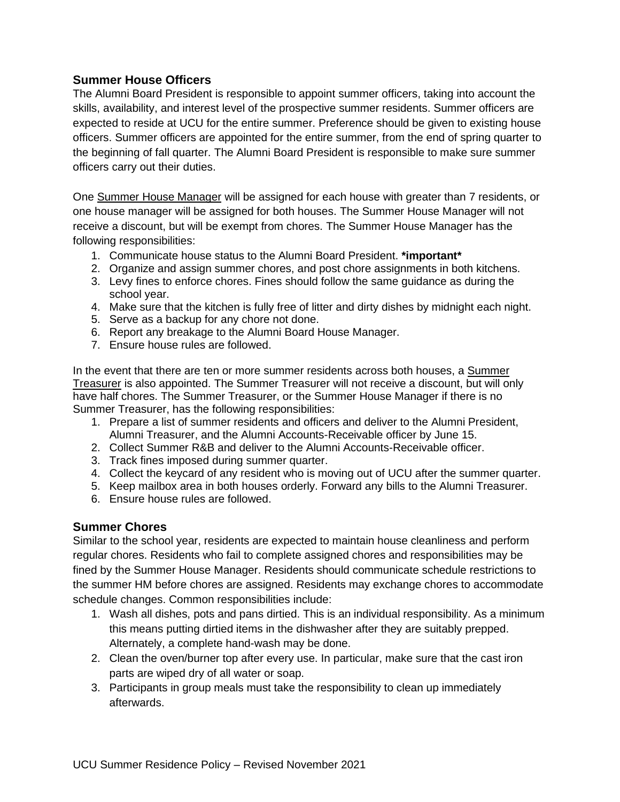## **Summer House Officers**

The Alumni Board President is responsible to appoint summer officers, taking into account the skills, availability, and interest level of the prospective summer residents. Summer officers are expected to reside at UCU for the entire summer. Preference should be given to existing house officers. Summer officers are appointed for the entire summer, from the end of spring quarter to the beginning of fall quarter. The Alumni Board President is responsible to make sure summer officers carry out their duties.

One Summer House Manager will be assigned for each house with greater than 7 residents, or one house manager will be assigned for both houses. The Summer House Manager will not receive a discount, but will be exempt from chores. The Summer House Manager has the following responsibilities:

- 1. Communicate house status to the Alumni Board President. **\*important\***
- 2. Organize and assign summer chores, and post chore assignments in both kitchens.
- 3. Levy fines to enforce chores. Fines should follow the same guidance as during the school year.
- 4. Make sure that the kitchen is fully free of litter and dirty dishes by midnight each night.
- 5. Serve as a backup for any chore not done.
- 6. Report any breakage to the Alumni Board House Manager.
- 7. Ensure house rules are followed.

In the event that there are ten or more summer residents across both houses, a Summer Treasurer is also appointed. The Summer Treasurer will not receive a discount, but will only have half chores. The Summer Treasurer, or the Summer House Manager if there is no Summer Treasurer, has the following responsibilities:

- 1. Prepare a list of summer residents and officers and deliver to the Alumni President, Alumni Treasurer, and the Alumni Accounts-Receivable officer by June 15.
- 2. Collect Summer R&B and deliver to the Alumni Accounts-Receivable officer.
- 3. Track fines imposed during summer quarter.
- 4. Collect the keycard of any resident who is moving out of UCU after the summer quarter.
- 5. Keep mailbox area in both houses orderly. Forward any bills to the Alumni Treasurer.
- 6. Ensure house rules are followed.

#### **Summer Chores**

Similar to the school year, residents are expected to maintain house cleanliness and perform regular chores. Residents who fail to complete assigned chores and responsibilities may be fined by the Summer House Manager. Residents should communicate schedule restrictions to the summer HM before chores are assigned. Residents may exchange chores to accommodate schedule changes. Common responsibilities include:

- 1. Wash all dishes, pots and pans dirtied. This is an individual responsibility. As a minimum this means putting dirtied items in the dishwasher after they are suitably prepped. Alternately, a complete hand-wash may be done.
- 2. Clean the oven/burner top after every use. In particular, make sure that the cast iron parts are wiped dry of all water or soap.
- 3. Participants in group meals must take the responsibility to clean up immediately afterwards.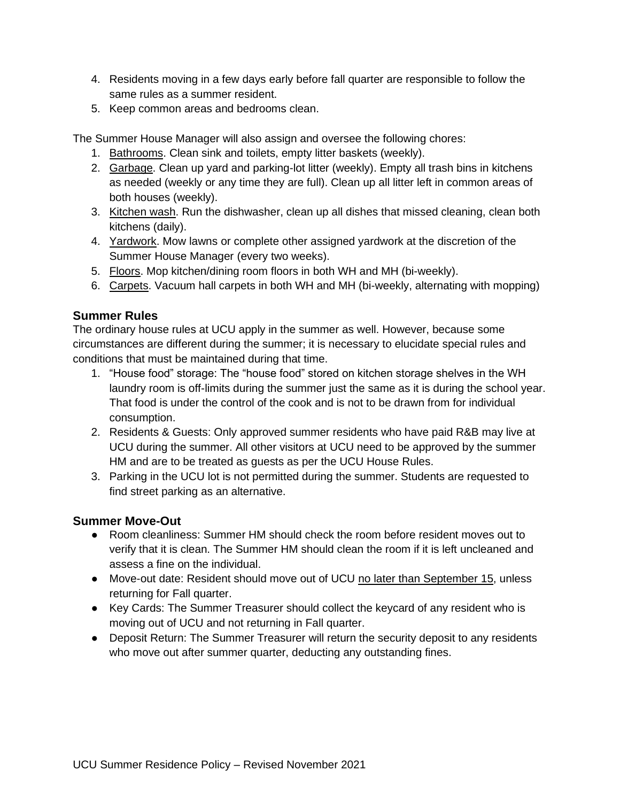- 4. Residents moving in a few days early before fall quarter are responsible to follow the same rules as a summer resident.
- 5. Keep common areas and bedrooms clean.

The Summer House Manager will also assign and oversee the following chores:

- 1. Bathrooms. Clean sink and toilets, empty litter baskets (weekly).
- 2. Garbage. Clean up yard and parking-lot litter (weekly). Empty all trash bins in kitchens as needed (weekly or any time they are full). Clean up all litter left in common areas of both houses (weekly).
- 3. Kitchen wash. Run the dishwasher, clean up all dishes that missed cleaning, clean both kitchens (daily).
- 4. Yardwork. Mow lawns or complete other assigned yardwork at the discretion of the Summer House Manager (every two weeks).
- 5. Floors. Mop kitchen/dining room floors in both WH and MH (bi-weekly).
- 6. Carpets. Vacuum hall carpets in both WH and MH (bi-weekly, alternating with mopping)

# **Summer Rules**

The ordinary house rules at UCU apply in the summer as well. However, because some circumstances are different during the summer; it is necessary to elucidate special rules and conditions that must be maintained during that time.

- 1. "House food" storage: The "house food" stored on kitchen storage shelves in the WH laundry room is off-limits during the summer just the same as it is during the school year. That food is under the control of the cook and is not to be drawn from for individual consumption.
- 2. Residents & Guests: Only approved summer residents who have paid R&B may live at UCU during the summer. All other visitors at UCU need to be approved by the summer HM and are to be treated as guests as per the UCU House Rules.
- 3. Parking in the UCU lot is not permitted during the summer. Students are requested to find street parking as an alternative.

## **Summer Move-Out**

- Room cleanliness: Summer HM should check the room before resident moves out to verify that it is clean. The Summer HM should clean the room if it is left uncleaned and assess a fine on the individual.
- Move-out date: Resident should move out of UCU no later than September 15, unless returning for Fall quarter.
- Key Cards: The Summer Treasurer should collect the keycard of any resident who is moving out of UCU and not returning in Fall quarter.
- Deposit Return: The Summer Treasurer will return the security deposit to any residents who move out after summer quarter, deducting any outstanding fines.